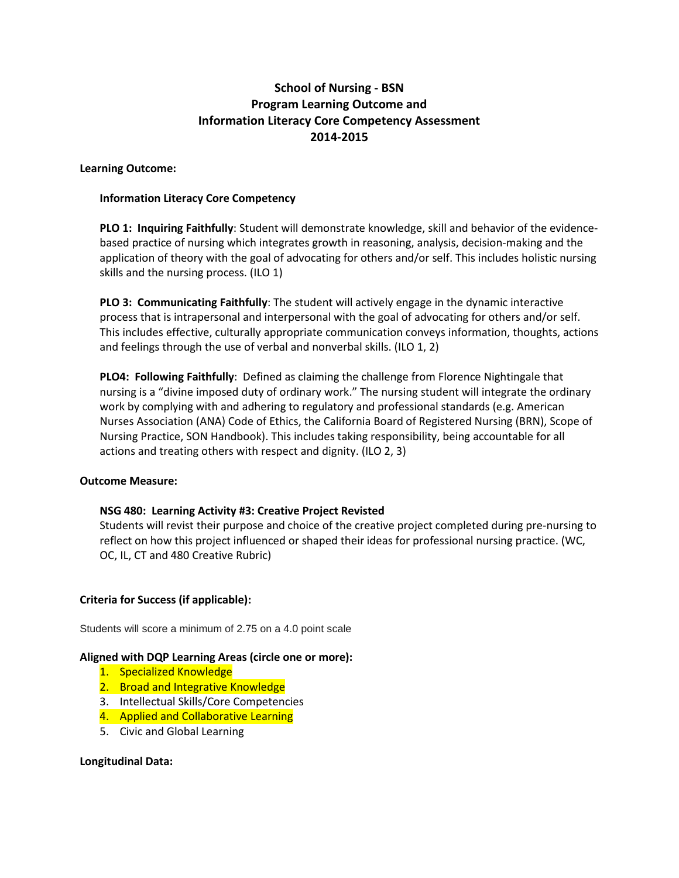# **School of Nursing - BSN Program Learning Outcome and Information Literacy Core Competency Assessment 2014-2015**

# **Learning Outcome:**

### **Information Literacy Core Competency**

**PLO 1: Inquiring Faithfully**: Student will demonstrate knowledge, skill and behavior of the evidencebased practice of nursing which integrates growth in reasoning, analysis, decision-making and the application of theory with the goal of advocating for others and/or self. This includes holistic nursing skills and the nursing process. (ILO 1)

**PLO 3: Communicating Faithfully**: The student will actively engage in the dynamic interactive process that is intrapersonal and interpersonal with the goal of advocating for others and/or self. This includes effective, culturally appropriate communication conveys information, thoughts, actions and feelings through the use of verbal and nonverbal skills. (ILO 1, 2)

**PLO4: Following Faithfully**: Defined as claiming the challenge from Florence Nightingale that nursing is a "divine imposed duty of ordinary work." The nursing student will integrate the ordinary work by complying with and adhering to regulatory and professional standards (e.g. American Nurses Association (ANA) Code of Ethics, the California Board of Registered Nursing (BRN), Scope of Nursing Practice, SON Handbook). This includes taking responsibility, being accountable for all actions and treating others with respect and dignity. (ILO 2, 3)

#### **Outcome Measure:**

# **NSG 480: Learning Activity #3: Creative Project Revisted**

Students will revist their purpose and choice of the creative project completed during pre-nursing to reflect on how this project influenced or shaped their ideas for professional nursing practice. (WC, OC, IL, CT and 480 Creative Rubric)

# **Criteria for Success (if applicable):**

Students will score a minimum of 2.75 on a 4.0 point scale

#### **Aligned with DQP Learning Areas (circle one or more):**

- 1. Specialized Knowledge
- 2. Broad and Integrative Knowledge
- 3. Intellectual Skills/Core Competencies
- 4. Applied and Collaborative Learning
- 5. Civic and Global Learning

#### **Longitudinal Data:**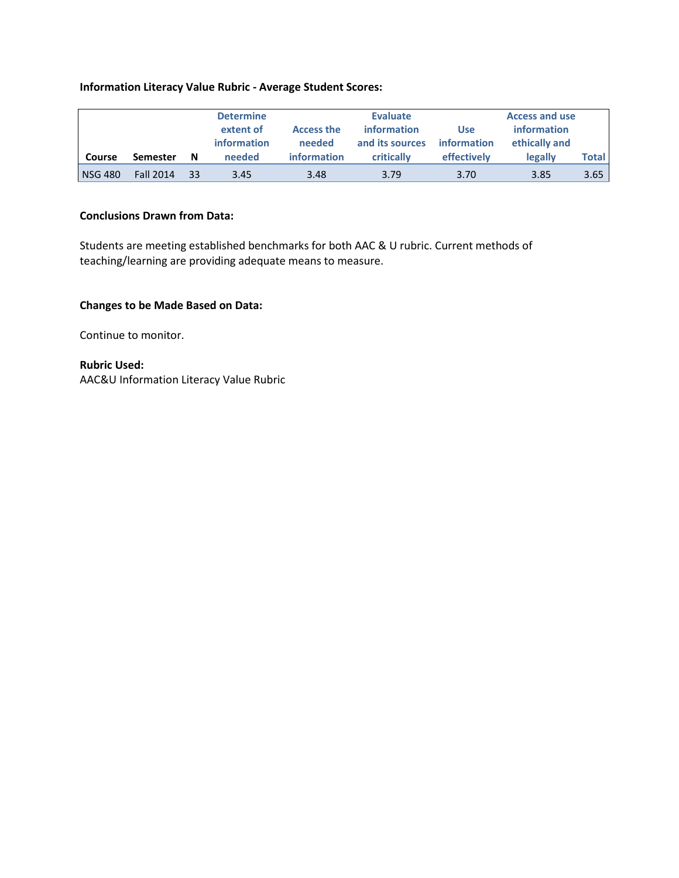### **Information Literacy Value Rubric - Average Student Scores:**

|                |                  |    | <b>Determine</b><br>extent of<br>information | <b>Evaluate</b><br><i>information</i><br><b>Access the</b><br>needed<br>and its sources |            | <b>Use</b><br>information | <b>Access and use</b><br>information<br>ethically and |       |
|----------------|------------------|----|----------------------------------------------|-----------------------------------------------------------------------------------------|------------|---------------------------|-------------------------------------------------------|-------|
| Course         | <b>Semester</b>  | N  | needed                                       | <b>information</b>                                                                      | critically | effectively               | legally                                               | Total |
| <b>NSG 480</b> | <b>Fall 2014</b> | 33 | 3.45                                         | 3.48                                                                                    | 3.79       | 3.70                      | 3.85                                                  | 3.65  |

# **Conclusions Drawn from Data:**

Students are meeting established benchmarks for both AAC & U rubric. Current methods of teaching/learning are providing adequate means to measure.

### **Changes to be Made Based on Data:**

Continue to monitor.

**Rubric Used:** AAC&U Information Literacy Value Rubric